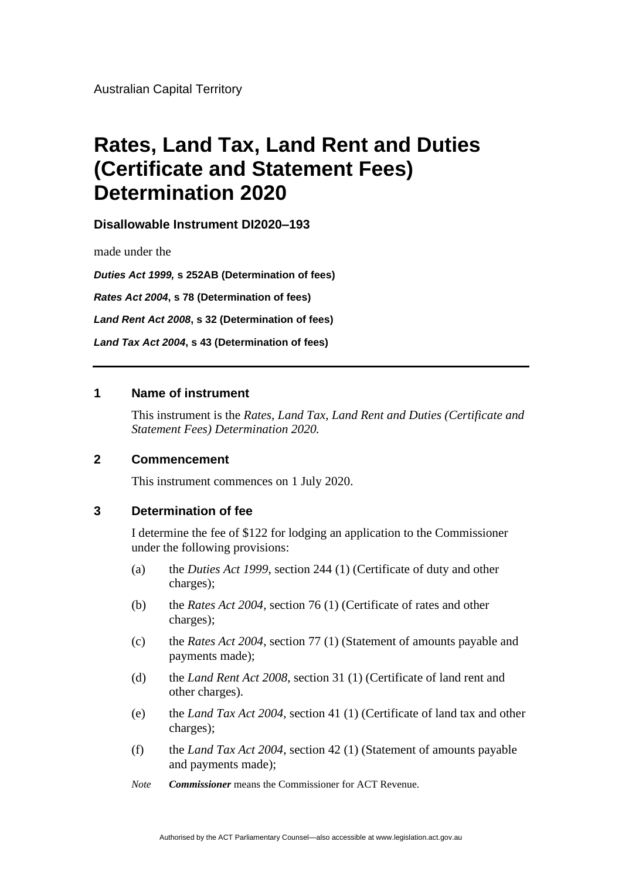Australian Capital Territory

# **Rates, Land Tax, Land Rent and Duties (Certificate and Statement Fees) Determination 2020**

**Disallowable Instrument DI2020–193**

made under the

*Duties Act 1999,* **s 252AB (Determination of fees)** *Rates Act 2004***, s 78 (Determination of fees)** *Land Rent Act 2008***, s 32 (Determination of fees)** *Land Tax Act 2004***, s 43 (Determination of fees)**

### **1 Name of instrument**

This instrument is the *Rates, Land Tax, Land Rent and Duties (Certificate and Statement Fees) Determination 2020.*

#### **2 Commencement**

This instrument commences on 1 July 2020.

# **3 Determination of fee**

I determine the fee of \$122 for lodging an application to the Commissioner under the following provisions:

- (a) the *Duties Act 1999*, section 244 (1) (Certificate of duty and other charges);
- (b) the *Rates Act 2004*, section 76 (1) (Certificate of rates and other charges);
- (c) the *Rates Act 2004*, section 77 (1) (Statement of amounts payable and payments made);
- (d) the *Land Rent Act 2008*, section 31 (1) (Certificate of land rent and other charges).
- (e) the *Land Tax Act 2004*, section 41 (1) (Certificate of land tax and other charges);
- (f) the *Land Tax Act 2004*, section 42 (1) (Statement of amounts payable and payments made);
- *Note Commissioner* means the Commissioner for ACT Revenue.